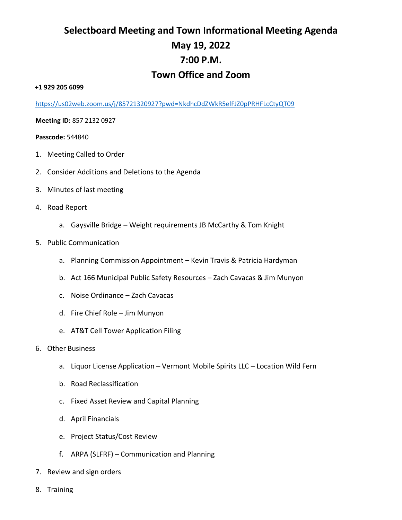# **Selectboard Meeting and Town Informational Meeting Agenda May 19, 2022 7:00 P.M. Town Office and Zoom**

#### **+1 929 205 6099**

<https://us02web.zoom.us/j/85721320927?pwd=NkdhcDdZWkR5elFJZ0pPRHFLcCtyQT09>

**Meeting ID:** 857 2132 0927

#### **Passcode:** 544840

- 1. Meeting Called to Order
- 2. Consider Additions and Deletions to the Agenda
- 3. Minutes of last meeting
- 4. Road Report
	- a. Gaysville Bridge Weight requirements JB McCarthy & Tom Knight
- 5. Public Communication
	- a. Planning Commission Appointment Kevin Travis & Patricia Hardyman
	- b. Act 166 Municipal Public Safety Resources Zach Cavacas & Jim Munyon
	- c. Noise Ordinance Zach Cavacas
	- d. Fire Chief Role Jim Munyon
	- e. AT&T Cell Tower Application Filing
- 6. Other Business
	- a. Liquor License Application Vermont Mobile Spirits LLC Location Wild Fern
	- b. Road Reclassification
	- c. Fixed Asset Review and Capital Planning
	- d. April Financials
	- e. Project Status/Cost Review
	- f. ARPA (SLFRF) Communication and Planning
- 7. Review and sign orders
- 8. Training